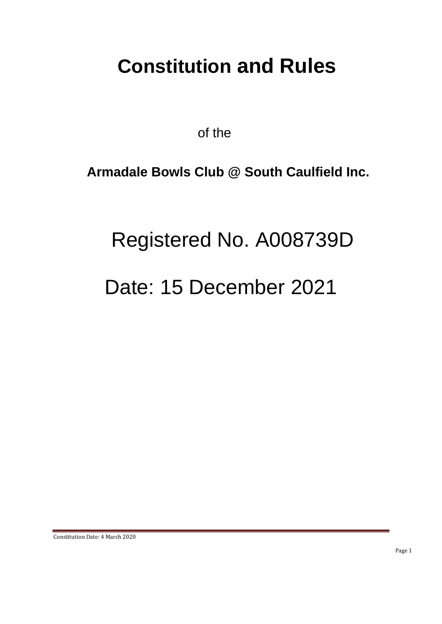# **Constitution and Rules**

of the

# **Armadale Bowls Club @ South Caulfield Inc.**

# Registered No. A008739D

# Date: 15 December 2021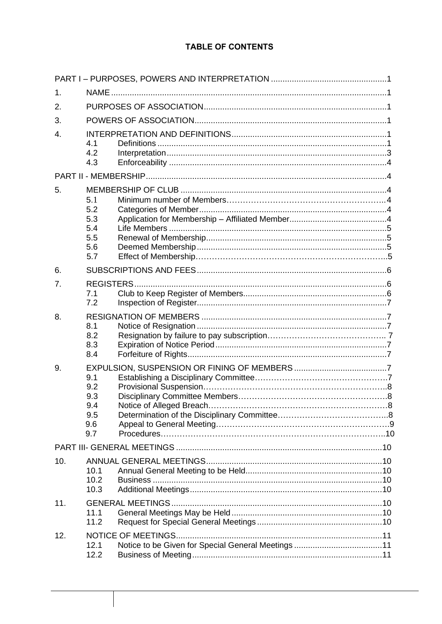# **TABLE OF CONTENTS**

| 1.             |                                               |                           |  |  |  |  |  |
|----------------|-----------------------------------------------|---------------------------|--|--|--|--|--|
| 2.             |                                               |                           |  |  |  |  |  |
| 3.             |                                               |                           |  |  |  |  |  |
| 4.             | 4.1<br>4.2<br>4.3                             |                           |  |  |  |  |  |
|                |                                               |                           |  |  |  |  |  |
| 5.             | 5.1<br>5.2<br>5.3<br>5.4<br>5.5<br>5.6<br>5.7 |                           |  |  |  |  |  |
| 6.             |                                               |                           |  |  |  |  |  |
| 7 <sub>1</sub> | <b>REGISTERS.</b><br>7.1<br>7.2               |                           |  |  |  |  |  |
| 8.             | 8.1<br>8.2<br>8.3<br>8.4                      |                           |  |  |  |  |  |
| 9.             | 9.1<br>9.2<br>9.3<br>9.4<br>9.5<br>9.6<br>9.7 |                           |  |  |  |  |  |
|                |                                               |                           |  |  |  |  |  |
| 10.            | 10.1<br>10.2<br>10.3                          |                           |  |  |  |  |  |
| 11.            | 11.1<br>11.2                                  |                           |  |  |  |  |  |
| 12.            | 12.1<br>12.2                                  | <b>NOTICE OF MEETINGS</b> |  |  |  |  |  |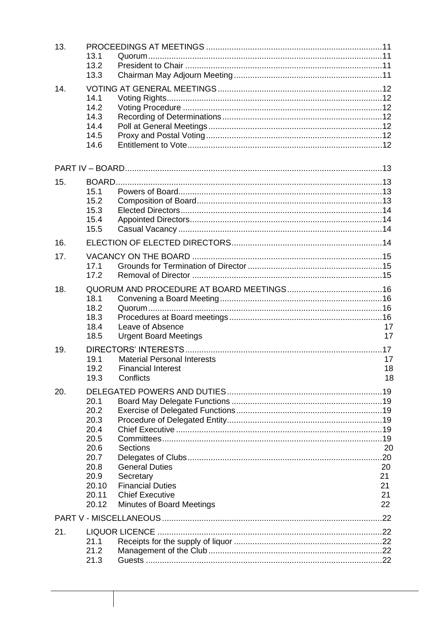| 13. | 13.1<br>13.2<br>13.3                                                                            |                                                                                                                                                |                                  |
|-----|-------------------------------------------------------------------------------------------------|------------------------------------------------------------------------------------------------------------------------------------------------|----------------------------------|
| 14. | 14.1<br>14.2<br>14.3<br>14.4<br>14.5<br>14.6                                                    |                                                                                                                                                |                                  |
|     |                                                                                                 |                                                                                                                                                |                                  |
| 15. | 15.1<br>15.2<br>15.3<br>15.4<br>15.5                                                            |                                                                                                                                                |                                  |
| 16. |                                                                                                 |                                                                                                                                                |                                  |
| 17. | 17.1<br>17.2                                                                                    |                                                                                                                                                |                                  |
| 18. | 18.1<br>18.2<br>18.3<br>18.4<br>18.5                                                            | Leave of Absence<br><b>Urgent Board Meetings</b>                                                                                               | 17<br>17                         |
| 19. | 19.1<br>19.2<br>19.3                                                                            | <b>Material Personal Interests</b><br><b>Financial Interest</b><br>Conflicts                                                                   | 17<br>18<br>18                   |
| 20. | 20.1<br>20.2<br>20.3<br>20.4<br>20.5<br>20.6<br>20.7<br>20.8<br>20.9<br>20.10<br>20.11<br>20.12 | <b>Sections</b><br><b>General Duties</b><br>Secretary<br><b>Financial Duties</b><br><b>Chief Executive</b><br><b>Minutes of Board Meetings</b> | 20<br>20<br>21<br>21<br>21<br>22 |
|     |                                                                                                 |                                                                                                                                                |                                  |
| 21. | 21.1<br>21.2<br>21.3                                                                            |                                                                                                                                                |                                  |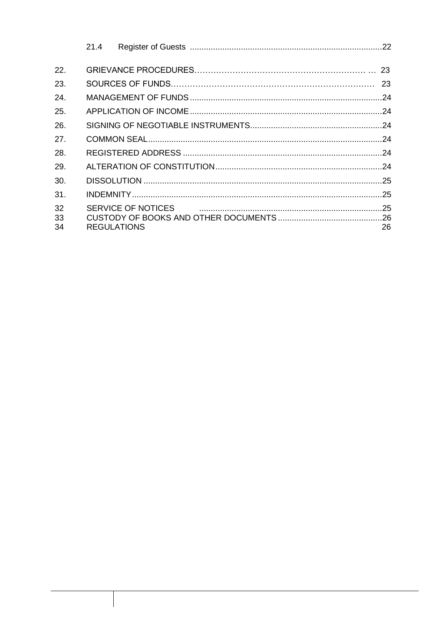|                | 21.4               |                    |    |
|----------------|--------------------|--------------------|----|
| 22.            |                    |                    |    |
| 23.            |                    |                    | 23 |
| 24.            |                    |                    |    |
| 25.            |                    |                    |    |
| 26.            |                    |                    |    |
| 27.            |                    |                    |    |
| 28.            |                    |                    |    |
| 29.            |                    |                    |    |
| 30.            |                    |                    |    |
| 31.            |                    |                    |    |
| 32<br>33<br>34 | <b>REGULATIONS</b> | SERVICE OF NOTICES | 26 |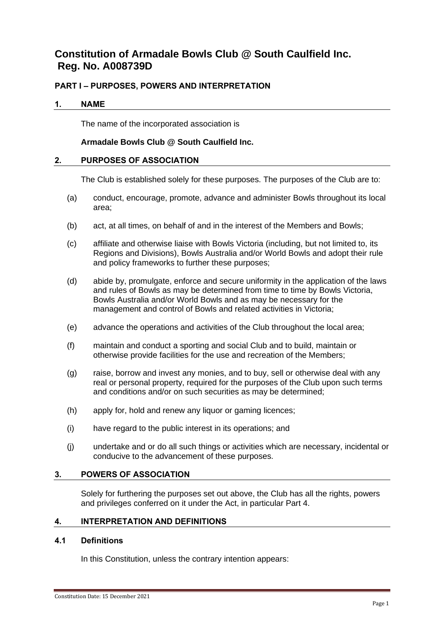# **Constitution of Armadale Bowls Club @ South Caulfield Inc. Reg. No. A008739D**

# <span id="page-4-0"></span>**PART I – PURPOSES, POWERS AND INTERPRETATION**

# <span id="page-4-1"></span>**1. NAME**

The name of the incorporated association is

# **Armadale Bowls Club @ South Caulfield Inc.**

#### <span id="page-4-2"></span>**2. PURPOSES OF ASSOCIATION**

The Club is established solely for these purposes. The purposes of the Club are to:

- (a) conduct, encourage, promote, advance and administer Bowls throughout its local area;
- (b) act, at all times, on behalf of and in the interest of the Members and Bowls;
- (c) affiliate and otherwise liaise with Bowls Victoria (including, but not limited to, its Regions and Divisions), Bowls Australia and/or World Bowls and adopt their rule and policy frameworks to further these purposes;
- (d) abide by, promulgate, enforce and secure uniformity in the application of the laws and rules of Bowls as may be determined from time to time by Bowls Victoria, Bowls Australia and/or World Bowls and as may be necessary for the management and control of Bowls and related activities in Victoria;
- (e) advance the operations and activities of the Club throughout the local area;
- (f) maintain and conduct a sporting and social Club and to build, maintain or otherwise provide facilities for the use and recreation of the Members;
- (g) raise, borrow and invest any monies, and to buy, sell or otherwise deal with any real or personal property, required for the purposes of the Club upon such terms and conditions and/or on such securities as may be determined;
- (h) apply for, hold and renew any liquor or gaming licences;
- (i) have regard to the public interest in its operations; and
- (j) undertake and or do all such things or activities which are necessary, incidental or conducive to the advancement of these purposes.

# <span id="page-4-3"></span>**3. POWERS OF ASSOCIATION**

Solely for furthering the purposes set out above, the Club has all the rights, powers and privileges conferred on it under the Act, in particular Part 4.

#### <span id="page-4-4"></span>**4. INTERPRETATION AND DEFINITIONS**

#### <span id="page-4-5"></span>**4.1 Definitions**

In this Constitution, unless the contrary intention appears: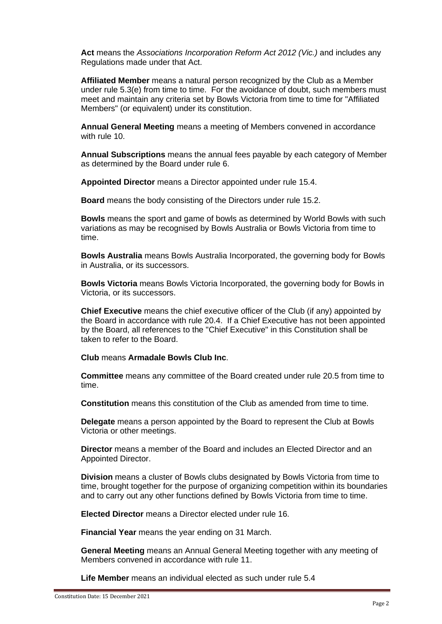**Act** means the *Associations Incorporation Reform Act 2012 (Vic.)* and includes any Regulations made under that Act.

**Affiliated Member** means a natural person recognized by the Club as a Member under rule [5.3\(e\)](#page-8-3) from time to time. For the avoidance of doubt, such members must meet and maintain any criteria set by Bowls Victoria from time to time for "Affiliated Members" (or equivalent) under its constitution.

**Annual General Meeting** means a meeting of Members convened in accordance with rule [10.](#page-13-0)

**Annual Subscriptions** means the annual fees payable by each category of Member as determined by the Board under rule [6.](#page-9-0)

**Appointed Director** means a Director appointed under rule [15.4.](#page-17-1)

**Board** means the body consisting of the Directors under rule [15.2.](#page-16-3)

**Bowls** means the sport and game of bowls as determined by World Bowls with such variations as may be recognised by Bowls Australia or Bowls Victoria from time to time.

**Bowls Australia** means Bowls Australia Incorporated, the governing body for Bowls in Australia, or its successors.

**Bowls Victoria** means Bowls Victoria Incorporated, the governing body for Bowls in Victoria, or its successors.

**Chief Executive** means the chief executive officer of the Club (if any) appointed by the Board in accordance with rule [20.4.](#page-22-4) If a Chief Executive has not been appointed by the Board, all references to the "Chief Executive" in this Constitution shall be taken to refer to the Board.

**Club** means **Armadale Bowls Club Inc**.

**Committee** means any committee of the Board created under rule [20.5](#page-22-5) from time to time.

**Constitution** means this constitution of the Club as amended from time to time.

**Delegate** means a person appointed by the Board to represent the Club at Bowls Victoria or other meetings.

**Director** means a member of the Board and includes an Elected Director and an Appointed Director.

**Division** means a cluster of Bowls clubs designated by Bowls Victoria from time to time, brought together for the purpose of organizing competition within its boundaries and to carry out any other functions defined by Bowls Victoria from time to time.

**Elected Director** means a Director elected under rule [16.](#page-17-3)

**Financial Year** means the year ending on 31 March.

**General Meeting** means an Annual General Meeting together with any meeting of Members convened in accordance with rule [11.](#page-13-4)

**Life Member** means an individual elected as such under rule 5.4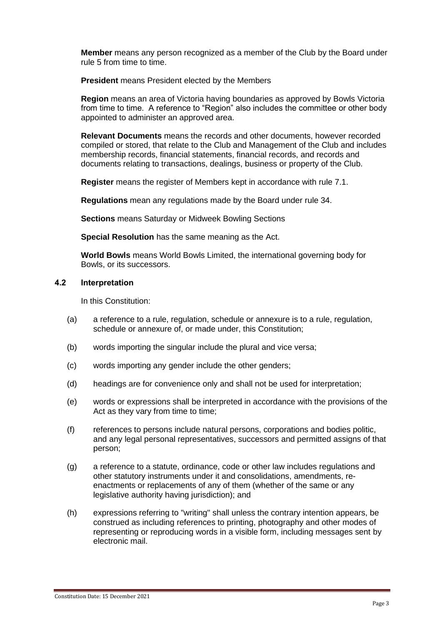**Member** means any person recognized as a member of the Club by the Board under rule [5](#page-7-2) from time to time.

**President** means President elected by the Members

**Region** means an area of Victoria having boundaries as approved by Bowls Victoria from time to time. A reference to "Region" also includes the committee or other body appointed to administer an approved area.

**Relevant Documents** means the records and other documents, however recorded compiled or stored, that relate to the Club and Management of the Club and includes membership records, financial statements, financial records, and records and documents relating to transactions, dealings, business or property of the Club.

**Register** means the register of Members kept in accordance with rule [7.1.](#page-9-2)

**Regulations** mean any regulations made by the Board under rule [34.](#page-29-1)

**Sections** means Saturday or Midweek Bowling Sections

**Special Resolution** has the same meaning as the Act.

**World Bowls** means World Bowls Limited, the international governing body for Bowls, or its successors.

# <span id="page-6-0"></span>**4.2 Interpretation**

In this Constitution:

- (a) a reference to a rule, regulation, schedule or annexure is to a rule, regulation, schedule or annexure of, or made under, this Constitution;
- (b) words importing the singular include the plural and vice versa;
- (c) words importing any gender include the other genders;
- (d) headings are for convenience only and shall not be used for interpretation;
- (e) words or expressions shall be interpreted in accordance with the provisions of the Act as they vary from time to time;
- (f) references to persons include natural persons, corporations and bodies politic, and any legal personal representatives, successors and permitted assigns of that person;
- (g) a reference to a statute, ordinance, code or other law includes regulations and other statutory instruments under it and consolidations, amendments, reenactments or replacements of any of them (whether of the same or any legislative authority having jurisdiction); and
- (h) expressions referring to "writing" shall unless the contrary intention appears, be construed as including references to printing, photography and other modes of representing or reproducing words in a visible form, including messages sent by electronic mail.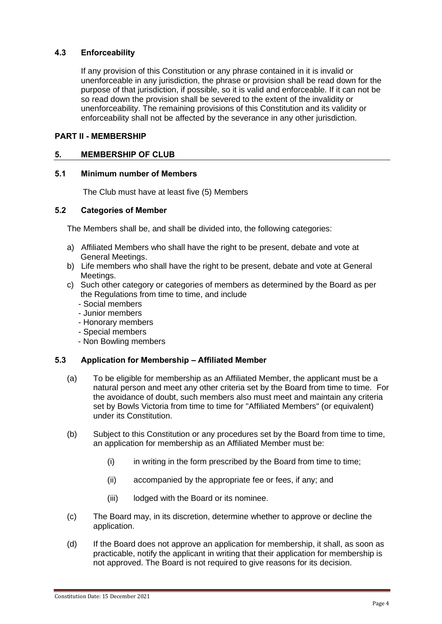# <span id="page-7-0"></span>**4.3 Enforceability**

If any provision of this Constitution or any phrase contained in it is invalid or unenforceable in any jurisdiction, the phrase or provision shall be read down for the purpose of that jurisdiction, if possible, so it is valid and enforceable. If it can not be so read down the provision shall be severed to the extent of the invalidity or unenforceability. The remaining provisions of this Constitution and its validity or enforceability shall not be affected by the severance in any other jurisdiction.

# <span id="page-7-1"></span>**PART II - MEMBERSHIP**

# <span id="page-7-2"></span>**5. MEMBERSHIP OF CLUB**

#### <span id="page-7-3"></span>**5.1 Minimum number of Members**

The Club must have at least five (5) Members

#### **5.2 Categories of Member**

The Members shall be, and shall be divided into, the following categories:

- a) Affiliated Members who shall have the right to be present, debate and vote at General Meetings.
- b) Life members who shall have the right to be present, debate and vote at General Meetings.
- c) Such other category or categories of members as determined by the Board as per the Regulations from time to time, and include
	- Social members
	- Junior members
	- Honorary members
	- Special members
	- Non Bowling members

# <span id="page-7-4"></span>**5.3 Application for Membership – Affiliated Member**

- (a) To be eligible for membership as an Affiliated Member, the applicant must be a natural person and meet any other criteria set by the Board from time to time. For the avoidance of doubt, such members also must meet and maintain any criteria set by Bowls Victoria from time to time for "Affiliated Members" (or equivalent) under its Constitution.
- (b) Subject to this Constitution or any procedures set by the Board from time to time, an application for membership as an Affiliated Member must be:
	- $(i)$  in writing in the form prescribed by the Board from time to time;
	- (ii) accompanied by the appropriate fee or fees, if any; and
	- (iii) lodged with the Board or its nominee.
- (c) The Board may, in its discretion, determine whether to approve or decline the application.
- (d) If the Board does not approve an application for membership, it shall, as soon as practicable, notify the applicant in writing that their application for membership is not approved. The Board is not required to give reasons for its decision.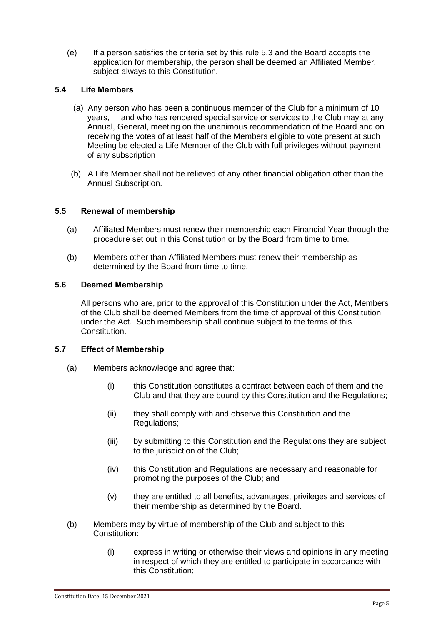<span id="page-8-3"></span>(e) If a person satisfies the criteria set by this rule [5.3](#page-7-4) and the Board accepts the application for membership, the person shall be deemed an Affiliated Member, subject always to this Constitution.

# <span id="page-8-0"></span>**5.4 Life Members**

- (a) Any person who has been a continuous member of the Club for a minimum of 10 years, and who has rendered special service or services to the Club may at any Annual, General, meeting on the unanimous recommendation of the Board and on receiving the votes of at least half of the Members eligible to vote present at such Meeting be elected a Life Member of the Club with full privileges without payment of any subscription
- (b) A Life Member shall not be relieved of any other financial obligation other than the Annual Subscription.

# **5.5 Renewal of membership**

- (a) Affiliated Members must renew their membership each Financial Year through the procedure set out in this Constitution or by the Board from time to time.
- (b) Members other than Affiliated Members must renew their membership as determined by the Board from time to time.

#### <span id="page-8-1"></span>**5.6 Deemed Membership**

All persons who are, prior to the approval of this Constitution under the Act, Members of the Club shall be deemed Members from the time of approval of this Constitution under the Act. Such membership shall continue subject to the terms of this **Constitution** 

# <span id="page-8-2"></span>**5.7 Effect of Membership**

- (a) Members acknowledge and agree that:
	- (i) this Constitution constitutes a contract between each of them and the Club and that they are bound by this Constitution and the Regulations;
	- (ii) they shall comply with and observe this Constitution and the Regulations;
	- (iii) by submitting to this Constitution and the Regulations they are subject to the jurisdiction of the Club;
	- (iv) this Constitution and Regulations are necessary and reasonable for promoting the purposes of the Club; and
	- (v) they are entitled to all benefits, advantages, privileges and services of their membership as determined by the Board.
- (b) Members may by virtue of membership of the Club and subject to this Constitution:
	- (i) express in writing or otherwise their views and opinions in any meeting in respect of which they are entitled to participate in accordance with this Constitution;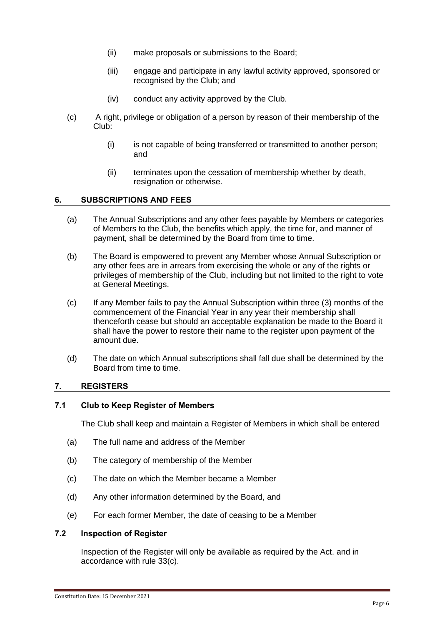- (ii) make proposals or submissions to the Board;
- (iii) engage and participate in any lawful activity approved, sponsored or recognised by the Club; and
- (iv) conduct any activity approved by the Club.
- (c) A right, privilege or obligation of a person by reason of their membership of the Club:
	- (i) is not capable of being transferred or transmitted to another person; and
	- (ii) terminates upon the cessation of membership whether by death, resignation or otherwise.

#### <span id="page-9-0"></span>**6. SUBSCRIPTIONS AND FEES**

- (a) The Annual Subscriptions and any other fees payable by Members or categories of Members to the Club, the benefits which apply, the time for, and manner of payment, shall be determined by the Board from time to time.
- (b) The Board is empowered to prevent any Member whose Annual Subscription or any other fees are in arrears from exercising the whole or any of the rights or privileges of membership of the Club, including but not limited to the right to vote at General Meetings.
- (c) If any Member fails to pay the Annual Subscription within three (3) months of the commencement of the Financial Year in any year their membership shall thenceforth cease but should an acceptable explanation be made to the Board it shall have the power to restore their name to the register upon payment of the amount due.
- (d) The date on which Annual subscriptions shall fall due shall be determined by the Board from time to time.

#### <span id="page-9-1"></span>**7. REGISTERS**

#### <span id="page-9-2"></span>**7.1 Club to Keep Register of Members**

The Club shall keep and maintain a Register of Members in which shall be entered

- (a) The full name and address of the Member
- (b) The category of membership of the Member
- (c) The date on which the Member became a Member
- (d) Any other information determined by the Board, and
- (e) For each former Member, the date of ceasing to be a Member

#### <span id="page-9-3"></span>**7.2 Inspection of Register**

Inspection of the Register will only be available as required by the Act. and in accordance with rule 33(c).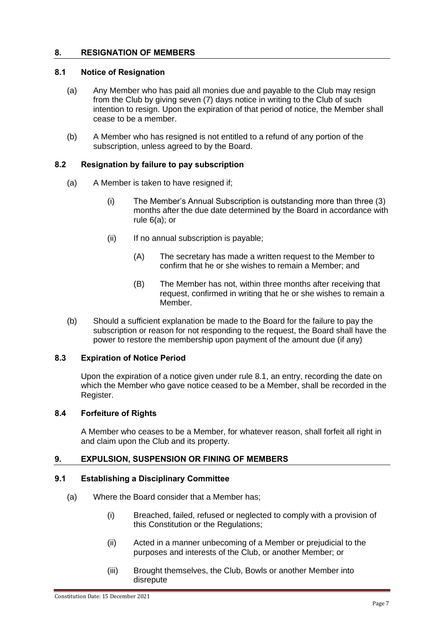# <span id="page-10-0"></span>**8. RESIGNATION OF MEMBERS**

# <span id="page-10-1"></span>**8.1 Notice of Resignation**

- (a) Any Member who has paid all monies due and payable to the Club may resign from the Club by giving seven (7) days notice in writing to the Club of such intention to resign. Upon the expiration of that period of notice, the Member shall cease to be a member.
- (b) A Member who has resigned is not entitled to a refund of any portion of the subscription, unless agreed to by the Board.

# **8.2 Resignation by failure to pay subscription**

- (a) A Member is taken to have resigned if;
	- (i) The Member's Annual Subscription is outstanding more than three (3) months after the due date determined by the Board in accordance with rule 6(a); or
	- (ii) If no annual subscription is payable;
		- (A) The secretary has made a written request to the Member to confirm that he or she wishes to remain a Member; and
		- (B) The Member has not, within three months after receiving that request, confirmed in writing that he or she wishes to remain a Member.
- (b) Should a sufficient explanation be made to the Board for the failure to pay the subscription or reason for not responding to the request, the Board shall have the power to restore the membership upon payment of the amount due (if any)

# <span id="page-10-2"></span>**8.3 Expiration of Notice Period**

Upon the expiration of a notice given under rule [8.1,](#page-10-1) an entry, recording the date on which the Member who gave notice ceased to be a Member, shall be recorded in the Register.

#### <span id="page-10-3"></span>**8.4 Forfeiture of Rights**

A Member who ceases to be a Member, for whatever reason, shall forfeit all right in and claim upon the Club and its property.

# <span id="page-10-4"></span>**9. EXPULSION, SUSPENSION OR FINING OF MEMBERS**

#### **9.1 Establishing a Disciplinary Committee**

- (a) Where the Board consider that a Member has;
	- (i) Breached, failed, refused or neglected to comply with a provision of this Constitution or the Regulations;
	- (ii) Acted in a manner unbecoming of a Member or prejudicial to the purposes and interests of the Club, or another Member; or
	- (iii) Brought themselves, the Club, Bowls or another Member into disrepute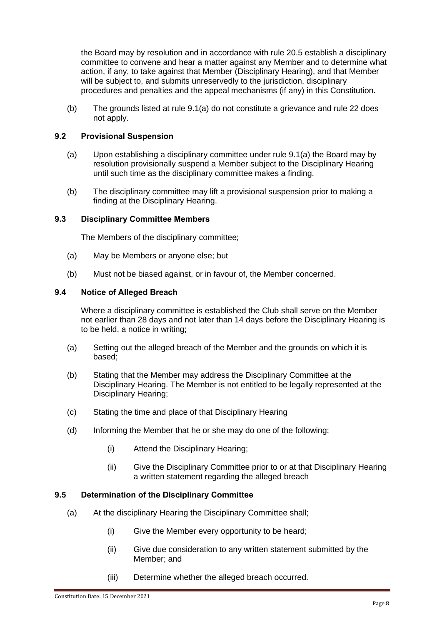the Board may by resolution and in accordance with rule 20.5 establish a disciplinary committee to convene and hear a matter against any Member and to determine what action, if any, to take against that Member (Disciplinary Hearing), and that Member will be subject to, and submits unreservedly to the jurisdiction, disciplinary procedures and penalties and the appeal mechanisms (if any) in this Constitution.

(b) The grounds listed at rule 9.1(a) do not constitute a grievance and rule 22 does not apply.

# **9.2 Provisional Suspension**

- (a) Upon establishing a disciplinary committee under rule 9.1(a) the Board may by resolution provisionally suspend a Member subject to the Disciplinary Hearing until such time as the disciplinary committee makes a finding.
- (b) The disciplinary committee may lift a provisional suspension prior to making a finding at the Disciplinary Hearing.

#### **9.3 Disciplinary Committee Members**

The Members of the disciplinary committee;

- (a) May be Members or anyone else; but
- (b) Must not be biased against, or in favour of, the Member concerned.

#### **9.4 Notice of Alleged Breach**

Where a disciplinary committee is established the Club shall serve on the Member not earlier than 28 days and not later than 14 days before the Disciplinary Hearing is to be held, a notice in writing;

- (a) Setting out the alleged breach of the Member and the grounds on which it is based;
- (b) Stating that the Member may address the Disciplinary Committee at the Disciplinary Hearing. The Member is not entitled to be legally represented at the Disciplinary Hearing;
- (c) Stating the time and place of that Disciplinary Hearing
- (d) Informing the Member that he or she may do one of the following;
	- (i) Attend the Disciplinary Hearing;
	- (ii) Give the Disciplinary Committee prior to or at that Disciplinary Hearing a written statement regarding the alleged breach

#### **9.5 Determination of the Disciplinary Committee**

- (a) At the disciplinary Hearing the Disciplinary Committee shall;
	- (i) Give the Member every opportunity to be heard;
	- (ii) Give due consideration to any written statement submitted by the Member; and
	- (iii) Determine whether the alleged breach occurred.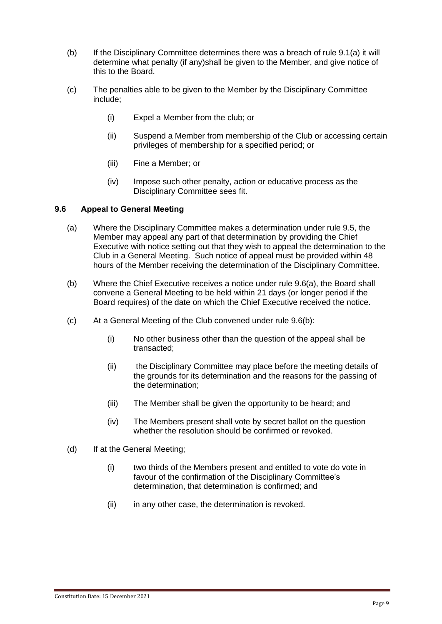- (b) If the Disciplinary Committee determines there was a breach of rule 9.1(a) it will determine what penalty (if any)shall be given to the Member, and give notice of this to the Board.
- (c) The penalties able to be given to the Member by the Disciplinary Committee include;
	- (i) Expel a Member from the club; or
	- (ii) Suspend a Member from membership of the Club or accessing certain privileges of membership for a specified period; or
	- (iii) Fine a Member; or
	- (iv) Impose such other penalty, action or educative process as the Disciplinary Committee sees fit.

# **9.6 Appeal to General Meeting**

- (a) Where the Disciplinary Committee makes a determination under rule 9.5, the Member may appeal any part of that determination by providing the Chief Executive with notice setting out that they wish to appeal the determination to the Club in a General Meeting. Such notice of appeal must be provided within 48 hours of the Member receiving the determination of the Disciplinary Committee.
- (b) Where the Chief Executive receives a notice under rule 9.6(a), the Board shall convene a General Meeting to be held within 21 days (or longer period if the Board requires) of the date on which the Chief Executive received the notice.
- <span id="page-12-0"></span>(c) At a General Meeting of the Club convened under rule 9.6(b):
	- (i) No other business other than the question of the appeal shall be transacted;
	- (ii) the Disciplinary Committee may place before the meeting details of the grounds for its determination and the reasons for the passing of the determination;
	- (iii) The Member shall be given the opportunity to be heard; and
	- (iv) The Members present shall vote by secret ballot on the question whether the resolution should be confirmed or revoked.
- (d) If at the General Meeting;
	- (i) two thirds of the Members present and entitled to vote do vote in favour of the confirmation of the Disciplinary Committee's determination, that determination is confirmed; and
	- (ii) in any other case, the determination is revoked.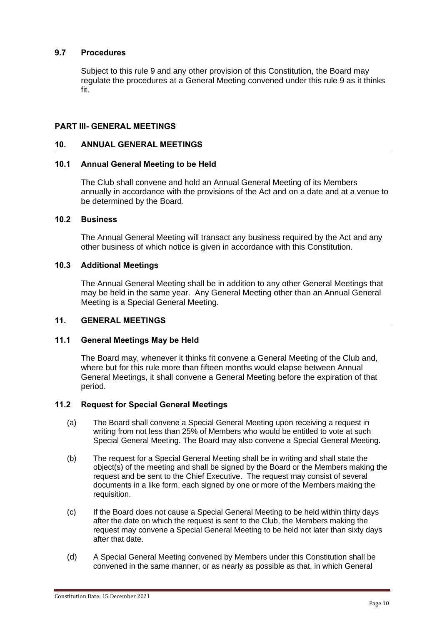# **9.7 Procedures**

Subject to this rule 9 and any other provision of this Constitution, the Board may regulate the procedures at a General Meeting convened under this rule 9 as it thinks fit.

# **PART III- GENERAL MEETINGS**

#### <span id="page-13-0"></span>**10. ANNUAL GENERAL MEETINGS**

#### <span id="page-13-1"></span>**10.1 Annual General Meeting to be Held**

The Club shall convene and hold an Annual General Meeting of its Members annually in accordance with the provisions of the Act and on a date and at a venue to be determined by the Board.

# <span id="page-13-2"></span>**10.2 Business**

The Annual General Meeting will transact any business required by the Act and any other business of which notice is given in accordance with this Constitution.

# <span id="page-13-3"></span>**10.3 Additional Meetings**

The Annual General Meeting shall be in addition to any other General Meetings that may be held in the same year. Any General Meeting other than an Annual General Meeting is a Special General Meeting.

# <span id="page-13-4"></span>**11. GENERAL MEETINGS**

#### <span id="page-13-5"></span>**11.1 General Meetings May be Held**

The Board may, whenever it thinks fit convene a General Meeting of the Club and, where but for this rule more than fifteen months would elapse between Annual General Meetings, it shall convene a General Meeting before the expiration of that period.

#### <span id="page-13-6"></span>**11.2 Request for Special General Meetings**

- (a) The Board shall convene a Special General Meeting upon receiving a request in writing from not less than 25% of Members who would be entitled to vote at such Special General Meeting. The Board may also convene a Special General Meeting.
- (b) The request for a Special General Meeting shall be in writing and shall state the object(s) of the meeting and shall be signed by the Board or the Members making the request and be sent to the Chief Executive. The request may consist of several documents in a like form, each signed by one or more of the Members making the requisition.
- (c) If the Board does not cause a Special General Meeting to be held within thirty days after the date on which the request is sent to the Club, the Members making the request may convene a Special General Meeting to be held not later than sixty days after that date.
- (d) A Special General Meeting convened by Members under this Constitution shall be convened in the same manner, or as nearly as possible as that, in which General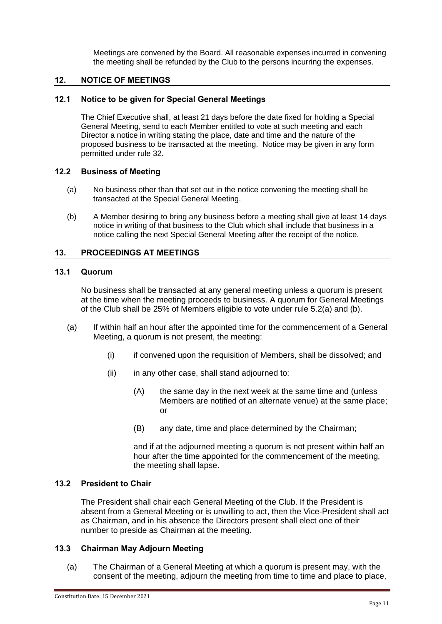Meetings are convened by the Board. All reasonable expenses incurred in convening the meeting shall be refunded by the Club to the persons incurring the expenses.

#### <span id="page-14-0"></span>**12. NOTICE OF MEETINGS**

#### <span id="page-14-1"></span>**12.1 Notice to be given for Special General Meetings**

The Chief Executive shall, at least 21 days before the date fixed for holding a Special General Meeting, send to each Member entitled to vote at such meeting and each Director a notice in writing stating the place, date and time and the nature of the proposed business to be transacted at the meeting. Notice may be given in any form permitted under rule 32.

#### <span id="page-14-2"></span>**12.2 Business of Meeting**

- (a) No business other than that set out in the notice convening the meeting shall be transacted at the Special General Meeting.
- (b) A Member desiring to bring any business before a meeting shall give at least 14 days notice in writing of that business to the Club which shall include that business in a notice calling the next Special General Meeting after the receipt of the notice.

#### <span id="page-14-3"></span>**13. PROCEEDINGS AT MEETINGS**

#### <span id="page-14-4"></span>**13.1 Quorum**

No business shall be transacted at any general meeting unless a quorum is present at the time when the meeting proceeds to business. A quorum for General Meetings of the Club shall be 25% of Members eligible to vote under rule 5.2(a) and (b).

- (a) If within half an hour after the appointed time for the commencement of a General Meeting, a quorum is not present, the meeting:
	- (i) if convened upon the requisition of Members, shall be dissolved; and
	- (ii) in any other case, shall stand adjourned to:
		- (A) the same day in the next week at the same time and (unless Members are notified of an alternate venue) at the same place; or
		- (B) any date, time and place determined by the Chairman;

and if at the adjourned meeting a quorum is not present within half an hour after the time appointed for the commencement of the meeting, the meeting shall lapse.

# <span id="page-14-5"></span>**13.2 President to Chair**

The President shall chair each General Meeting of the Club. If the President is absent from a General Meeting or is unwilling to act, then the Vice-President shall act as Chairman, and in his absence the Directors present shall elect one of their number to preside as Chairman at the meeting.

# <span id="page-14-6"></span>**13.3 Chairman May Adjourn Meeting**

(a) The Chairman of a General Meeting at which a quorum is present may, with the consent of the meeting, adjourn the meeting from time to time and place to place,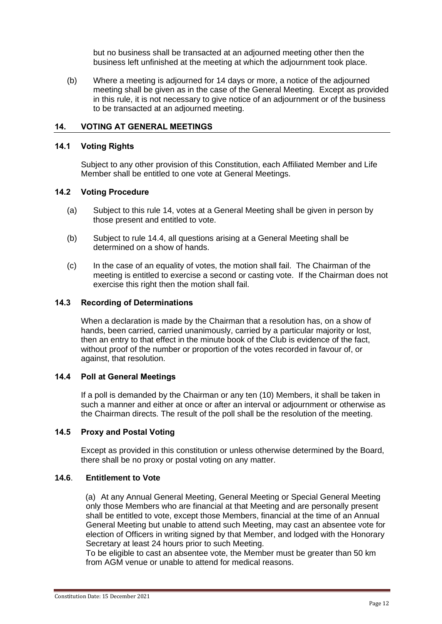but no business shall be transacted at an adjourned meeting other then the business left unfinished at the meeting at which the adjournment took place.

(b) Where a meeting is adjourned for 14 days or more, a notice of the adjourned meeting shall be given as in the case of the General Meeting. Except as provided in this rule, it is not necessary to give notice of an adjournment or of the business to be transacted at an adjourned meeting.

#### <span id="page-15-0"></span>**14. VOTING AT GENERAL MEETINGS**

#### <span id="page-15-1"></span>**14.1 Voting Rights**

Subject to any other provision of this Constitution, each Affiliated Member and Life Member shall be entitled to one vote at General Meetings.

#### <span id="page-15-2"></span>**14.2 Voting Procedure**

- (a) Subject to this rule [14,](#page-15-0) votes at a General Meeting shall be given in person by those present and entitled to vote.
- (b) Subject to rule [14.4,](#page-15-4) all questions arising at a General Meeting shall be determined on a show of hands.
- (c) In the case of an equality of votes, the motion shall fail. The Chairman of the meeting is entitled to exercise a second or casting vote. If the Chairman does not exercise this right then the motion shall fail.

#### <span id="page-15-3"></span>**14.3 Recording of Determinations**

When a declaration is made by the Chairman that a resolution has, on a show of hands, been carried, carried unanimously, carried by a particular majority or lost, then an entry to that effect in the minute book of the Club is evidence of the fact, without proof of the number or proportion of the votes recorded in favour of, or against, that resolution.

#### <span id="page-15-4"></span>**14.4 Poll at General Meetings**

If a poll is demanded by the Chairman or any ten (10) Members, it shall be taken in such a manner and either at once or after an interval or adjournment or otherwise as the Chairman directs. The result of the poll shall be the resolution of the meeting.

#### <span id="page-15-5"></span>**14.5 Proxy and Postal Voting**

Except as provided in this constitution or unless otherwise determined by the Board, there shall be no proxy or postal voting on any matter.

# **14.6**. **Entitlement to Vote**

 (a) At any Annual General Meeting, General Meeting or Special General Meeting only those Members who are financial at that Meeting and are personally present shall be entitled to vote, except those Members, financial at the time of an Annual General Meeting but unable to attend such Meeting, may cast an absentee vote for election of Officers in writing signed by that Member, and lodged with the Honorary Secretary at least 24 hours prior to such Meeting.

To be eligible to cast an absentee vote, the Member must be greater than 50 km from AGM venue or unable to attend for medical reasons.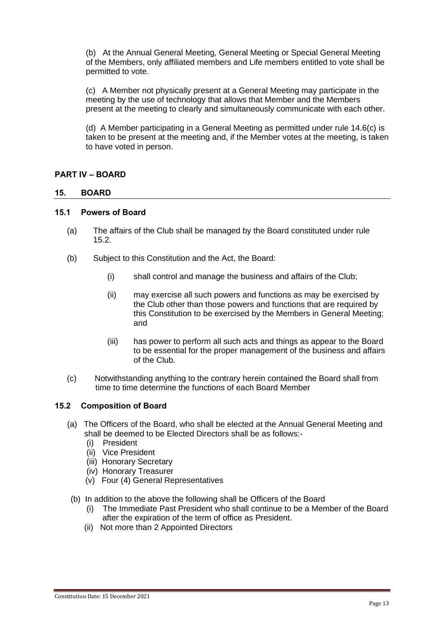(b) At the Annual General Meeting, General Meeting or Special General Meeting of the Members, only affiliated members and Life members entitled to vote shall be permitted to vote.

(c) A Member not physically present at a General Meeting may participate in the meeting by the use of technology that allows that Member and the Members present at the meeting to clearly and simultaneously communicate with each other.

(d) A Member participating in a General Meeting as permitted under rule 14.6(c) is taken to be present at the meeting and, if the Member votes at the meeting, is taken to have voted in person.

# <span id="page-16-0"></span>**PART IV – BOARD**

#### <span id="page-16-1"></span>**15. BOARD**

#### <span id="page-16-2"></span>**15.1 Powers of Board**

- (a) The affairs of the Club shall be managed by the Board constituted under rule [15.2.](#page-16-3)
- (b) Subject to this Constitution and the Act, the Board:
	- (i) shall control and manage the business and affairs of the Club;
	- (ii) may exercise all such powers and functions as may be exercised by the Club other than those powers and functions that are required by this Constitution to be exercised by the Members in General Meeting; and
	- (iii) has power to perform all such acts and things as appear to the Board to be essential for the proper management of the business and affairs of the Club.
- (c) Notwithstanding anything to the contrary herein contained the Board shall from time to time determine the functions of each Board Member

#### <span id="page-16-3"></span>**15.2 Composition of Board**

- (a) The Officers of the Board, who shall be elected at the Annual General Meeting and shall be deemed to be Elected Directors shall be as follows:-
	- (i) President
	- (ii) Vice President
	- (iii) Honorary Secretary
	- (iv) Honorary Treasurer
	- (v) Four (4) General Representatives
	- (b) In addition to the above the following shall be Officers of the Board
		- (i) The Immediate Past President who shall continue to be a Member of the Board after the expiration of the term of office as President.
		- (ii) Not more than 2 Appointed Directors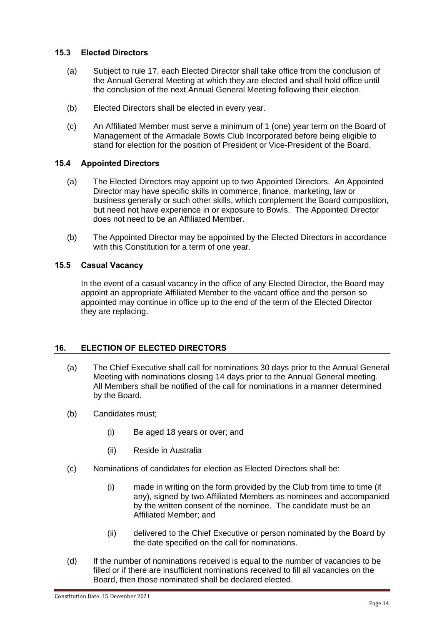# <span id="page-17-0"></span>**15.3 Elected Directors**

- (a) Subject to rule [17,](#page-18-0) each Elected Director shall take office from the conclusion of the Annual General Meeting at which they are elected and shall hold office until the conclusion of the next Annual General Meeting following their election.
- (b) Elected Directors shall be elected in every year.
- (c) An Affiliated Member must serve a minimum of 1 (one) year term on the Board of Management of the Armadale Bowls Club Incorporated before being eligible to stand for election for the position of President or Vice-President of the Board.

# <span id="page-17-1"></span>**15.4 Appointed Directors**

- (a) The Elected Directors may appoint up to two Appointed Directors. An Appointed Director may have specific skills in commerce, finance, marketing, law or business generally or such other skills, which complement the Board composition, but need not have experience in or exposure to Bowls. The Appointed Director does not need to be an Affiliated Member.
- (b) The Appointed Director may be appointed by the Elected Directors in accordance with this Constitution for a term of one year.

# <span id="page-17-2"></span>**15.5 Casual Vacancy**

In the event of a casual vacancy in the office of any Elected Director, the Board may appoint an appropriate Affiliated Member to the vacant office and the person so appointed may continue in office up to the end of the term of the Elected Director they are replacing.

# <span id="page-17-3"></span>**16. ELECTION OF ELECTED DIRECTORS**

- (a) The Chief Executive shall call for nominations 30 days prior to the Annual General Meeting with nominations closing 14 days prior to the Annual General meeting. All Members shall be notified of the call for nominations in a manner determined by the Board.
- (b) Candidates must;
	- (i) Be aged 18 years or over; and
	- (ii) Reside in Australia
- (c) Nominations of candidates for election as Elected Directors shall be:
	- (i) made in writing on the form provided by the Club from time to time (if any), signed by two Affiliated Members as nominees and accompanied by the written consent of the nominee. The candidate must be an Affiliated Member; and
	- (ii) delivered to the Chief Executive or person nominated by the Board by the date specified on the call for nominations.
- (d) If the number of nominations received is equal to the number of vacancies to be filled or if there are insufficient nominations received to fill all vacancies on the Board, then those nominated shall be declared elected.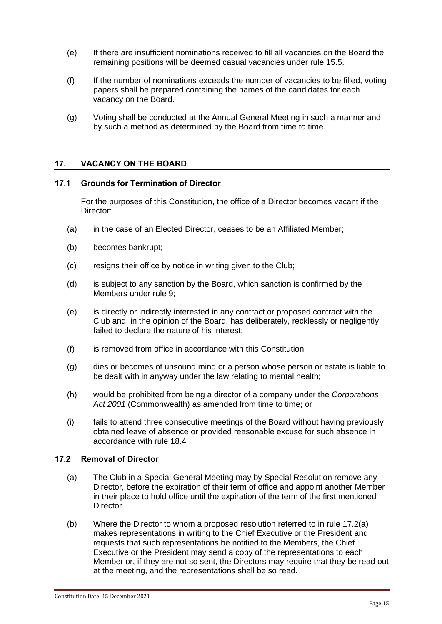- (e) If there are insufficient nominations received to fill all vacancies on the Board the remaining positions will be deemed casual vacancies under rule [15.5.](#page-17-2)
- (f) If the number of nominations exceeds the number of vacancies to be filled, voting papers shall be prepared containing the names of the candidates for each vacancy on the Board.
- (g) Voting shall be conducted at the Annual General Meeting in such a manner and by such a method as determined by the Board from time to time.

#### <span id="page-18-0"></span>**17. VACANCY ON THE BOARD**

#### <span id="page-18-1"></span>**17.1 Grounds for Termination of Director**

For the purposes of this Constitution, the office of a Director becomes vacant if the Director:

- (a) in the case of an Elected Director, ceases to be an Affiliated Member;
- (b) becomes bankrupt;
- (c) resigns their office by notice in writing given to the Club;
- (d) is subject to any sanction by the Board, which sanction is confirmed by the Members under rule 9;
- (e) is directly or indirectly interested in any contract or proposed contract with the Club and, in the opinion of the Board, has deliberately, recklessly or negligently failed to declare the nature of his interest;
- (f) is removed from office in accordance with this Constitution;
- (g) dies or becomes of unsound mind or a person whose person or estate is liable to be dealt with in anyway under the law relating to mental health;
- (h) would be prohibited from being a director of a company under the *Corporations*  Act 2001 (Commonwealth) as amended from time to time; or
- (i) fails to attend three consecutive meetings of the Board without having previously obtained leave of absence or provided reasonable excuse for such absence in accordance with rule 18.4

#### <span id="page-18-2"></span>**17.2 Removal of Director**

- <span id="page-18-3"></span>(a) The Club in a Special General Meeting may by Special Resolution remove any Director, before the expiration of their term of office and appoint another Member in their place to hold office until the expiration of the term of the first mentioned Director.
- (b) Where the Director to whom a proposed resolution referred to in rule [17.2](#page-18-2)[\(a\)](#page-18-3) makes representations in writing to the Chief Executive or the President and requests that such representations be notified to the Members, the Chief Executive or the President may send a copy of the representations to each Member or, if they are not so sent, the Directors may require that they be read out at the meeting, and the representations shall be so read.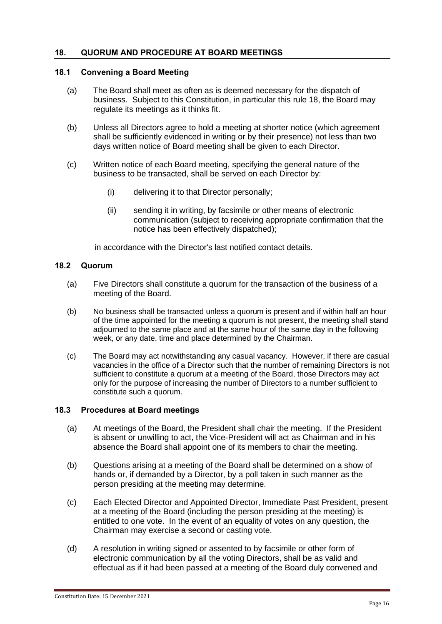# <span id="page-19-0"></span>**18. QUORUM AND PROCEDURE AT BOARD MEETINGS**

# <span id="page-19-1"></span>**18.1 Convening a Board Meeting**

- (a) The Board shall meet as often as is deemed necessary for the dispatch of business. Subject to this Constitution, in particular this rule [18,](#page-19-0) the Board may regulate its meetings as it thinks fit.
- (b) Unless all Directors agree to hold a meeting at shorter notice (which agreement shall be sufficiently evidenced in writing or by their presence) not less than two days written notice of Board meeting shall be given to each Director.
- (c) Written notice of each Board meeting, specifying the general nature of the business to be transacted, shall be served on each Director by:
	- (i) delivering it to that Director personally;
	- (ii) sending it in writing, by facsimile or other means of electronic communication (subject to receiving appropriate confirmation that the notice has been effectively dispatched);

in accordance with the Director's last notified contact details.

#### <span id="page-19-2"></span>**18.2 Quorum**

- (a) Five Directors shall constitute a quorum for the transaction of the business of a meeting of the Board.
- (b) No business shall be transacted unless a quorum is present and if within half an hour of the time appointed for the meeting a quorum is not present, the meeting shall stand adjourned to the same place and at the same hour of the same day in the following week, or any date, time and place determined by the Chairman.
- (c) The Board may act notwithstanding any casual vacancy. However, if there are casual vacancies in the office of a Director such that the number of remaining Directors is not sufficient to constitute a quorum at a meeting of the Board, those Directors may act only for the purpose of increasing the number of Directors to a number sufficient to constitute such a quorum.

#### <span id="page-19-3"></span>**18.3 Procedures at Board meetings**

- (a) At meetings of the Board, the President shall chair the meeting. If the President is absent or unwilling to act, the Vice-President will act as Chairman and in his absence the Board shall appoint one of its members to chair the meeting.
- (b) Questions arising at a meeting of the Board shall be determined on a show of hands or, if demanded by a Director, by a poll taken in such manner as the person presiding at the meeting may determine.
- (c) Each Elected Director and Appointed Director, Immediate Past President, present at a meeting of the Board (including the person presiding at the meeting) is entitled to one vote. In the event of an equality of votes on any question, the Chairman may exercise a second or casting vote.
- (d) A resolution in writing signed or assented to by facsimile or other form of electronic communication by all the voting Directors, shall be as valid and effectual as if it had been passed at a meeting of the Board duly convened and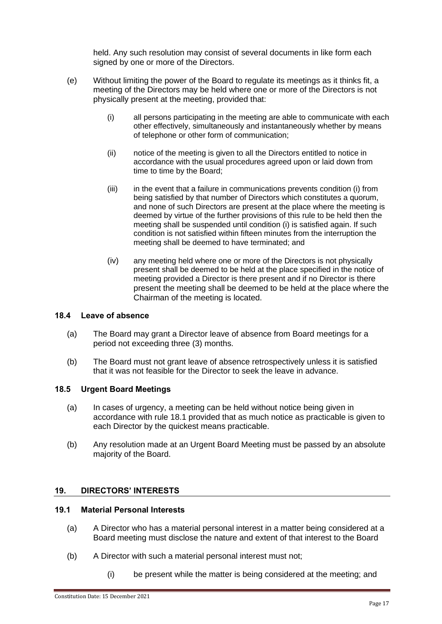held. Any such resolution may consist of several documents in like form each signed by one or more of the Directors.

- (e) Without limiting the power of the Board to regulate its meetings as it thinks fit, a meeting of the Directors may be held where one or more of the Directors is not physically present at the meeting, provided that:
	- (i) all persons participating in the meeting are able to communicate with each other effectively, simultaneously and instantaneously whether by means of telephone or other form of communication;
	- (ii) notice of the meeting is given to all the Directors entitled to notice in accordance with the usual procedures agreed upon or laid down from time to time by the Board;
	- (iii) in the event that a failure in communications prevents condition (i) from being satisfied by that number of Directors which constitutes a quorum, and none of such Directors are present at the place where the meeting is deemed by virtue of the further provisions of this rule to be held then the meeting shall be suspended until condition (i) is satisfied again. If such condition is not satisfied within fifteen minutes from the interruption the meeting shall be deemed to have terminated; and
	- (iv) any meeting held where one or more of the Directors is not physically present shall be deemed to be held at the place specified in the notice of meeting provided a Director is there present and if no Director is there present the meeting shall be deemed to be held at the place where the Chairman of the meeting is located.

# **18.4 Leave of absence**

- (a) The Board may grant a Director leave of absence from Board meetings for a period not exceeding three (3) months.
- (b) The Board must not grant leave of absence retrospectively unless it is satisfied that it was not feasible for the Director to seek the leave in advance.

# **18.5 Urgent Board Meetings**

- (a) In cases of urgency, a meeting can be held without notice being given in accordance with rule 18.1 provided that as much notice as practicable is given to each Director by the quickest means practicable.
- (b) Any resolution made at an Urgent Board Meeting must be passed by an absolute majority of the Board.

# <span id="page-20-0"></span>**19. DIRECTORS' INTERESTS**

# **19.1 Material Personal Interests**

- (a) A Director who has a material personal interest in a matter being considered at a Board meeting must disclose the nature and extent of that interest to the Board
- (b) A Director with such a material personal interest must not;
	- (i) be present while the matter is being considered at the meeting; and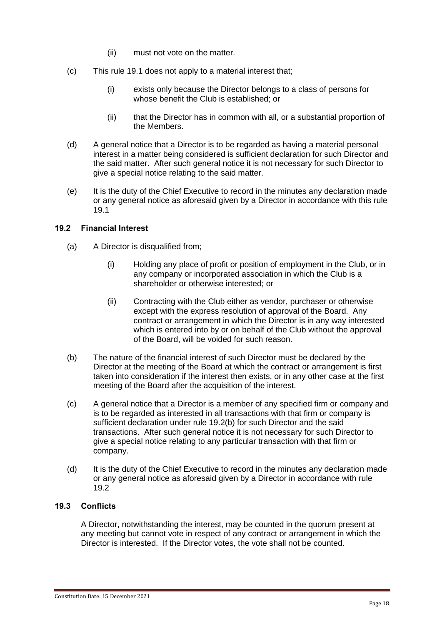- (ii) must not vote on the matter.
- (c) This rule 19.1 does not apply to a material interest that;
	- (i) exists only because the Director belongs to a class of persons for whose benefit the Club is established; or
	- (ii) that the Director has in common with all, or a substantial proportion of the Members.
- (d) A general notice that a Director is to be regarded as having a material personal interest in a matter being considered is sufficient declaration for such Director and the said matter. After such general notice it is not necessary for such Director to give a special notice relating to the said matter.
- (e) It is the duty of the Chief Executive to record in the minutes any declaration made or any general notice as aforesaid given by a Director in accordance with this rule 19.1

# **19.2 Financial Interest**

- (a) A Director is disqualified from;
	- (i) Holding any place of profit or position of employment in the Club, or in any company or incorporated association in which the Club is a shareholder or otherwise interested; or
	- (ii) Contracting with the Club either as vendor, purchaser or otherwise except with the express resolution of approval of the Board. Any contract or arrangement in which the Director is in any way interested which is entered into by or on behalf of the Club without the approval of the Board, will be voided for such reason.
- (b) The nature of the financial interest of such Director must be declared by the Director at the meeting of the Board at which the contract or arrangement is first taken into consideration if the interest then exists, or in any other case at the first meeting of the Board after the acquisition of the interest.
- (c) A general notice that a Director is a member of any specified firm or company and is to be regarded as interested in all transactions with that firm or company is sufficient declaration under rule 19.2(b) for such Director and the said transactions. After such general notice it is not necessary for such Director to give a special notice relating to any particular transaction with that firm or company.
- (d) It is the duty of the Chief Executive to record in the minutes any declaration made or any general notice as aforesaid given by a Director in accordance with rule 19.2

# **19.3 Conflicts**

A Director, notwithstanding the interest, may be counted in the quorum present at any meeting but cannot vote in respect of any contract or arrangement in which the Director is interested. If the Director votes, the vote shall not be counted.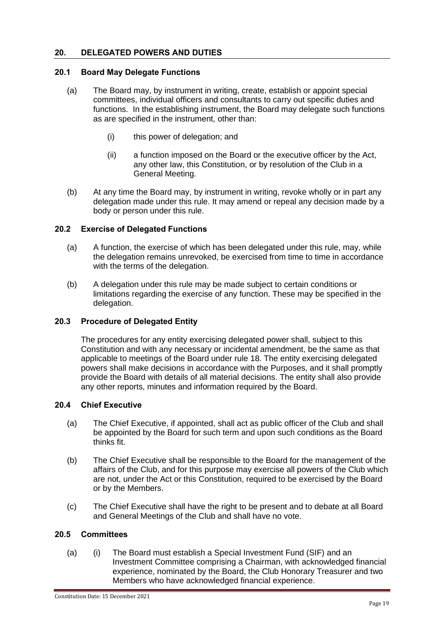# <span id="page-22-0"></span>**20. DELEGATED POWERS AND DUTIES**

# <span id="page-22-1"></span>**20.1 Board May Delegate Functions**

- (a) The Board may, by instrument in writing, create, establish or appoint special committees, individual officers and consultants to carry out specific duties and functions. In the establishing instrument, the Board may delegate such functions as are specified in the instrument, other than:
	- (i) this power of delegation; and
	- (ii) a function imposed on the Board or the executive officer by the Act, any other law, this Constitution, or by resolution of the Club in a General Meeting.
- (b) At any time the Board may, by instrument in writing, revoke wholly or in part any delegation made under this rule. It may amend or repeal any decision made by a body or person under this rule.

# <span id="page-22-2"></span>**20.2 Exercise of Delegated Functions**

- (a) A function, the exercise of which has been delegated under this rule, may, while the delegation remains unrevoked, be exercised from time to time in accordance with the terms of the delegation.
- (b) A delegation under this rule may be made subject to certain conditions or limitations regarding the exercise of any function. These may be specified in the delegation.

# <span id="page-22-3"></span>**20.3 Procedure of Delegated Entity**

The procedures for any entity exercising delegated power shall, subject to this Constitution and with any necessary or incidental amendment, be the same as that applicable to meetings of the Board under rule [18.](#page-19-0) The entity exercising delegated powers shall make decisions in accordance with the Purposes, and it shall promptly provide the Board with details of all material decisions. The entity shall also provide any other reports, minutes and information required by the Board.

# <span id="page-22-4"></span>**20.4 Chief Executive**

- (a) The Chief Executive, if appointed, shall act as public officer of the Club and shall be appointed by the Board for such term and upon such conditions as the Board thinks fit.
- (b) The Chief Executive shall be responsible to the Board for the management of the affairs of the Club, and for this purpose may exercise all powers of the Club which are not, under the Act or this Constitution, required to be exercised by the Board or by the Members.
- (c) The Chief Executive shall have the right to be present and to debate at all Board and General Meetings of the Club and shall have no vote.

# <span id="page-22-5"></span>**20.5 Committees**

(a) (i) The Board must establish a Special Investment Fund (SIF) and an Investment Committee comprising a Chairman, with acknowledged financial experience, nominated by the Board, the Club Honorary Treasurer and two Members who have acknowledged financial experience.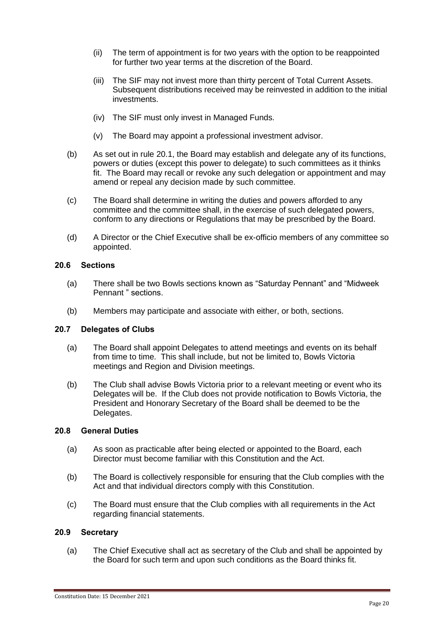- (ii) The term of appointment is for two years with the option to be reappointed for further two year terms at the discretion of the Board.
- (iii) The SIF may not invest more than thirty percent of Total Current Assets. Subsequent distributions received may be reinvested in addition to the initial investments.
- (iv) The SIF must only invest in Managed Funds.
- (v) The Board may appoint a professional investment advisor.
- (b) As set out in rule [20.1,](#page-22-1) the Board may establish and delegate any of its functions, powers or duties (except this power to delegate) to such committees as it thinks fit. The Board may recall or revoke any such delegation or appointment and may amend or repeal any decision made by such committee.
- (c) The Board shall determine in writing the duties and powers afforded to any committee and the committee shall, in the exercise of such delegated powers, conform to any directions or Regulations that may be prescribed by the Board.
- (d) A Director or the Chief Executive shall be ex-officio members of any committee so appointed.

#### <span id="page-23-0"></span>**20.6 Sections**

- (a) There shall be two Bowls sections known as "Saturday Pennant" and "Midweek Pennant " sections.
- (b) Members may participate and associate with either, or both, sections.

#### <span id="page-23-1"></span>**20.7 Delegates of Clubs**

- (a) The Board shall appoint Delegates to attend meetings and events on its behalf from time to time. This shall include, but not be limited to, Bowls Victoria meetings and Region and Division meetings.
- (b) The Club shall advise Bowls Victoria prior to a relevant meeting or event who its Delegates will be. If the Club does not provide notification to Bowls Victoria, the President and Honorary Secretary of the Board shall be deemed to be the Delegates.

#### **20.8 General Duties**

- (a) As soon as practicable after being elected or appointed to the Board, each Director must become familiar with this Constitution and the Act.
- (b) The Board is collectively responsible for ensuring that the Club complies with the Act and that individual directors comply with this Constitution.
- (c) The Board must ensure that the Club complies with all requirements in the Act regarding financial statements.

# **20.9 Secretary**

(a) The Chief Executive shall act as secretary of the Club and shall be appointed by the Board for such term and upon such conditions as the Board thinks fit.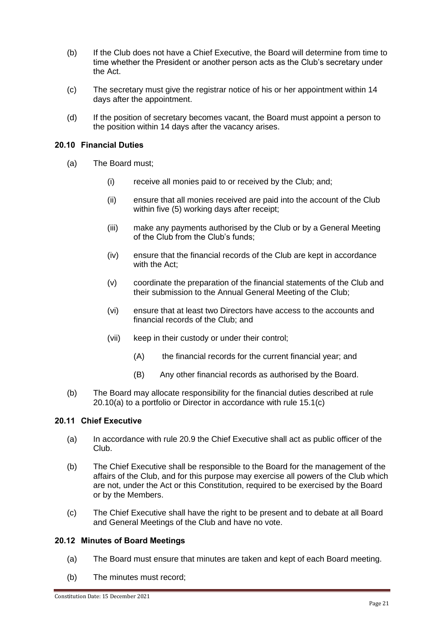- (b) If the Club does not have a Chief Executive, the Board will determine from time to time whether the President or another person acts as the Club's secretary under the Act.
- (c) The secretary must give the registrar notice of his or her appointment within 14 days after the appointment.
- (d) If the position of secretary becomes vacant, the Board must appoint a person to the position within 14 days after the vacancy arises.

# **20.10 Financial Duties**

- (a) The Board must;
	- (i) receive all monies paid to or received by the Club; and;
	- (ii) ensure that all monies received are paid into the account of the Club within five (5) working days after receipt;
	- (iii) make any payments authorised by the Club or by a General Meeting of the Club from the Club's funds;
	- (iv) ensure that the financial records of the Club are kept in accordance with the Act;
	- (v) coordinate the preparation of the financial statements of the Club and their submission to the Annual General Meeting of the Club;
	- (vi) ensure that at least two Directors have access to the accounts and financial records of the Club; and
	- (vii) keep in their custody or under their control;
		- (A) the financial records for the current financial year; and
		- (B) Any other financial records as authorised by the Board.
- (b) The Board may allocate responsibility for the financial duties described at rule 20.10(a) to a portfolio or Director in accordance with rule 15.1(c)

# **20.11 Chief Executive**

- (a) In accordance with rule 20.9 the Chief Executive shall act as public officer of the Club.
- (b) The Chief Executive shall be responsible to the Board for the management of the affairs of the Club, and for this purpose may exercise all powers of the Club which are not, under the Act or this Constitution, required to be exercised by the Board or by the Members.
- (c) The Chief Executive shall have the right to be present and to debate at all Board and General Meetings of the Club and have no vote.

# **20.12 Minutes of Board Meetings**

- (a) The Board must ensure that minutes are taken and kept of each Board meeting.
- (b) The minutes must record;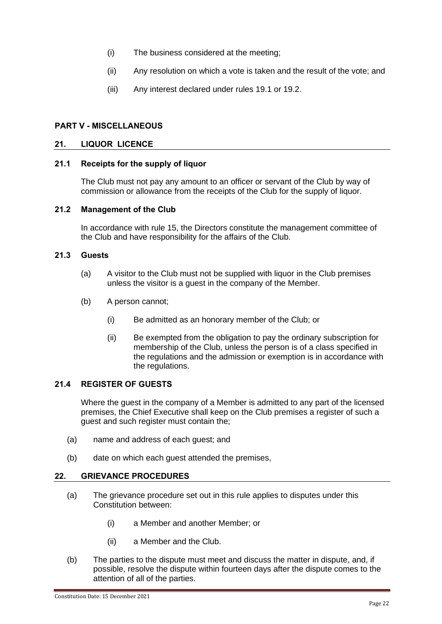- (i) The business considered at the meeting;
- (ii) Any resolution on which a vote is taken and the result of the vote; and
- (iii) Any interest declared under rules 19.1 or 19.2.

# <span id="page-25-0"></span>**PART V - MISCELLANEOUS**

# <span id="page-25-1"></span>**21. LIQUOR LICENCE**

#### <span id="page-25-2"></span>**21.1 Receipts for the supply of liquor**

The Club must not pay any amount to an officer or servant of the Club by way of commission or allowance from the receipts of the Club for the supply of liquor.

# <span id="page-25-3"></span>**21.2 Management of the Club**

In accordance with rule [15,](#page-16-1) the Directors constitute the management committee of the Club and have responsibility for the affairs of the Club.

# <span id="page-25-4"></span>**21.3 Guests**

- (a) A visitor to the Club must not be supplied with liquor in the Club premises unless the visitor is a guest in the company of the Member.
- (b) A person cannot;
	- (i) Be admitted as an honorary member of the Club; or
	- (ii) Be exempted from the obligation to pay the ordinary subscription for membership of the Club, unless the person is of a class specified in the regulations and the admission or exemption is in accordance with the regulations.

# **21.4 REGISTER OF GUESTS**

Where the guest in the company of a Member is admitted to any part of the licensed premises, the Chief Executive shall keep on the Club premises a register of such a guest and such register must contain the;

- (a) name and address of each guest; and
- (b) date on which each guest attended the premises,

# **22. GRIEVANCE PROCEDURES**

- (a) The grievance procedure set out in this rule applies to disputes under this Constitution between:
	- (i) a Member and another Member; or
	- (ii) a Member and the Club.
- (b) The parties to the dispute must meet and discuss the matter in dispute, and, if possible, resolve the dispute within fourteen days after the dispute comes to the attention of all of the parties.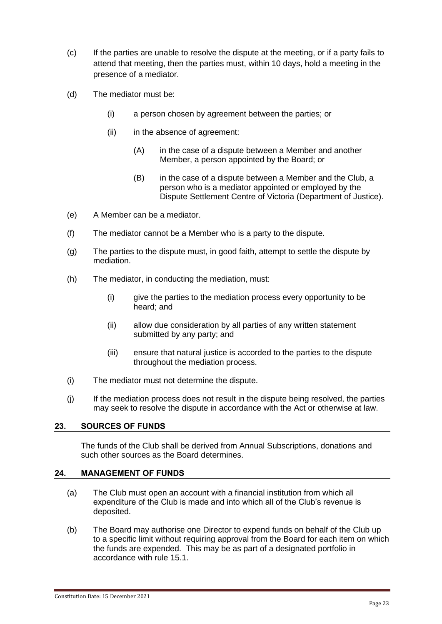- (c) If the parties are unable to resolve the dispute at the meeting, or if a party fails to attend that meeting, then the parties must, within 10 days, hold a meeting in the presence of a mediator.
- (d) The mediator must be:
	- (i) a person chosen by agreement between the parties; or
	- (ii) in the absence of agreement:
		- (A) in the case of a dispute between a Member and another Member, a person appointed by the Board; or
		- (B) in the case of a dispute between a Member and the Club, a person who is a mediator appointed or employed by the Dispute Settlement Centre of Victoria (Department of Justice).
- (e) A Member can be a mediator.
- (f) The mediator cannot be a Member who is a party to the dispute.
- (g) The parties to the dispute must, in good faith, attempt to settle the dispute by mediation.
- (h) The mediator, in conducting the mediation, must:
	- (i) give the parties to the mediation process every opportunity to be heard; and
	- (ii) allow due consideration by all parties of any written statement submitted by any party; and
	- (iii) ensure that natural justice is accorded to the parties to the dispute throughout the mediation process.
- (i) The mediator must not determine the dispute.
- (j) If the mediation process does not result in the dispute being resolved, the parties may seek to resolve the dispute in accordance with the Act or otherwise at law.

# **23. SOURCES OF FUNDS**

The funds of the Club shall be derived from Annual Subscriptions, donations and such other sources as the Board determines.

# **24. MANAGEMENT OF FUNDS**

- (a) The Club must open an account with a financial institution from which all expenditure of the Club is made and into which all of the Club's revenue is deposited.
- (b) The Board may authorise one Director to expend funds on behalf of the Club up to a specific limit without requiring approval from the Board for each item on which the funds are expended. This may be as part of a designated portfolio in accordance with rule 15.1.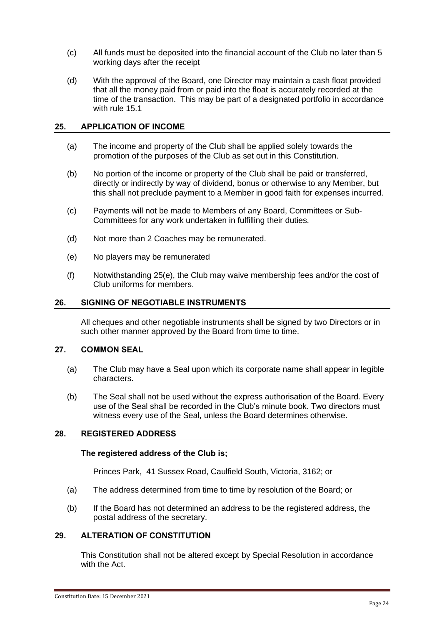- (c) All funds must be deposited into the financial account of the Club no later than 5 working days after the receipt
- (d) With the approval of the Board, one Director may maintain a cash float provided that all the money paid from or paid into the float is accurately recorded at the time of the transaction. This may be part of a designated portfolio in accordance with rule 15.1

#### <span id="page-27-0"></span>**25. APPLICATION OF INCOME**

- (a) The income and property of the Club shall be applied solely towards the promotion of the purposes of the Club as set out in this Constitution.
- (b) No portion of the income or property of the Club shall be paid or transferred, directly or indirectly by way of dividend, bonus or otherwise to any Member, but this shall not preclude payment to a Member in good faith for expenses incurred.
- (c) Payments will not be made to Members of any Board, Committees or Sub-Committees for any work undertaken in fulfilling their duties.
- (d) Not more than 2 Coaches may be remunerated.
- (e) No players may be remunerated
- (f) Notwithstanding 25(e), the Club may waive membership fees and/or the cost of Club uniforms for members.

#### <span id="page-27-1"></span>**26. SIGNING OF NEGOTIABLE INSTRUMENTS**

All cheques and other negotiable instruments shall be signed by two Directors or in such other manner approved by the Board from time to time.

#### <span id="page-27-2"></span>**27. COMMON SEAL**

- (a) The Club may have a Seal upon which its corporate name shall appear in legible characters.
- (b) The Seal shall not be used without the express authorisation of the Board. Every use of the Seal shall be recorded in the Club's minute book. Two directors must witness every use of the Seal, unless the Board determines otherwise.

#### **28. REGISTERED ADDRESS**

#### **The registered address of the Club is;**

Princes Park, 41 Sussex Road, Caulfield South, Victoria, 3162; or

- (a) The address determined from time to time by resolution of the Board; or
- (b) If the Board has not determined an address to be the registered address, the postal address of the secretary.

# <span id="page-27-3"></span>**29. ALTERATION OF CONSTITUTION**

This Constitution shall not be altered except by Special Resolution in accordance with the Act.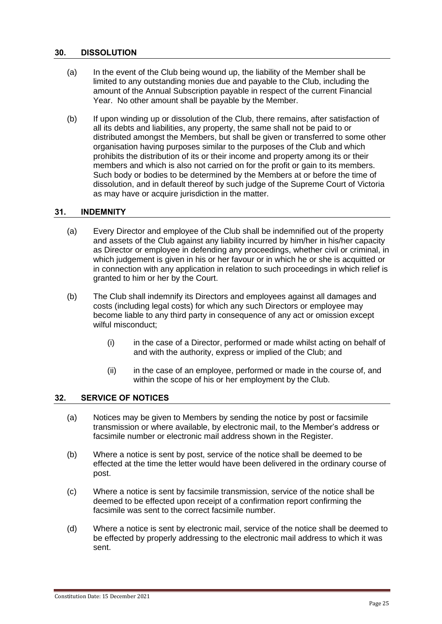#### <span id="page-28-0"></span>**30. DISSOLUTION**

- (a) In the event of the Club being wound up, the liability of the Member shall be limited to any outstanding monies due and payable to the Club, including the amount of the Annual Subscription payable in respect of the current Financial Year. No other amount shall be payable by the Member.
- (b) If upon winding up or dissolution of the Club, there remains, after satisfaction of all its debts and liabilities, any property, the same shall not be paid to or distributed amongst the Members, but shall be given or transferred to some other organisation having purposes similar to the purposes of the Club and which prohibits the distribution of its or their income and property among its or their members and which is also not carried on for the profit or gain to its members. Such body or bodies to be determined by the Members at or before the time of dissolution, and in default thereof by such judge of the Supreme Court of Victoria as may have or acquire jurisdiction in the matter.

#### **31. INDEMNITY**

- (a) Every Director and employee of the Club shall be indemnified out of the property and assets of the Club against any liability incurred by him/her in his/her capacity as Director or employee in defending any proceedings, whether civil or criminal, in which judgement is given in his or her favour or in which he or she is acquitted or in connection with any application in relation to such proceedings in which relief is granted to him or her by the Court.
- (b) The Club shall indemnify its Directors and employees against all damages and costs (including legal costs) for which any such Directors or employee may become liable to any third party in consequence of any act or omission except wilful misconduct;
	- (i) in the case of a Director, performed or made whilst acting on behalf of and with the authority, express or implied of the Club; and
	- (ii) in the case of an employee, performed or made in the course of, and within the scope of his or her employment by the Club.

# <span id="page-28-1"></span>**32. SERVICE OF NOTICES**

- (a) Notices may be given to Members by sending the notice by post or facsimile transmission or where available, by electronic mail, to the Member's address or facsimile number or electronic mail address shown in the Register.
- (b) Where a notice is sent by post, service of the notice shall be deemed to be effected at the time the letter would have been delivered in the ordinary course of post.
- (c) Where a notice is sent by facsimile transmission, service of the notice shall be deemed to be effected upon receipt of a confirmation report confirming the facsimile was sent to the correct facsimile number.
- (d) Where a notice is sent by electronic mail, service of the notice shall be deemed to be effected by properly addressing to the electronic mail address to which it was sent.